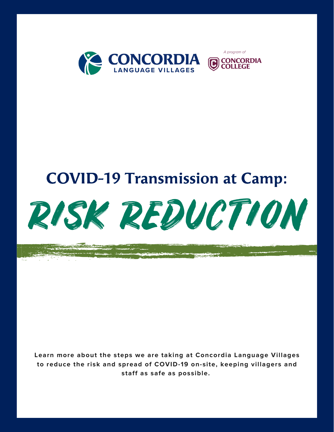

A program of

**COLLEGE** 

## COVID-19 Transmission at Camp:



**Learn more about the steps we are taking at Concordia Language Villages to reduce the risk and spread of COVID-19 on-site, keeping villagers and staff as safe as possible.**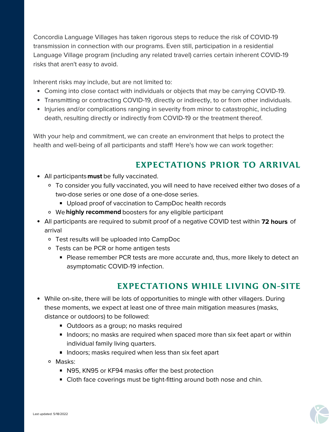Concordia Language Villages has taken rigorous steps to reduce the risk of COVID-19 transmission in connection with our programs. Even still, participation in a residential Language Village program (including any related travel) carries certain inherent COVID-19 risks that aren't easy to avoid.

Inherent risks may include, but are not limited to:

- Coming into close contact with individuals or objects that may be carrying COVID-19.
- Transmitting or contracting COVID-19, directly or indirectly, to or from other individuals.
- Injuries and/or complications ranging in severity from minor to catastrophic, including death, resulting directly or indirectly from COVID-19 or the treatment thereof.

With your help and commitment, we can create an environment that helps to protect the health and well-being of all participants and staff! Here's how we can work together:

## EXPECTATIONS PRIOR TO ARRIVAL

- All participants **must** be fully vaccinated.
	- To consider you fully vaccinated, you will need to have received either two doses of a two-dose series or one dose of a one-dose series.
		- Upload proof of vaccination to CampDoc health records
		- We highly recommend boosters for any eligible participant
- All participants are required to submit proof of a negative COVID test within **72 hours** of arrival
	- Test results will be uploaded into CampDoc
	- o Tests can be PCR or home antigen tests
		- **Please remember PCR tests are more accurate and, thus, more likely to detect an** asymptomatic COVID-19 infection.

## EXPECTATIONS WHILE LIVING ON-SITE

- While on-site, there will be lots of opportunities to mingle with other villagers. During these moments, we expect at least one of three main mitigation measures (masks, distance or outdoors) to be followed:
	- Outdoors as a group; no masks required
	- Indoors; no masks are required when spaced more than six feet apart or within individual family living quarters.
	- **IF** Indoors; masks required when less than six feet apart
	- Masks:
		- N95, KN95 or KF94 masks offer the best protection
		- **Cloth face coverings must be tight-fitting around both nose and chin.**